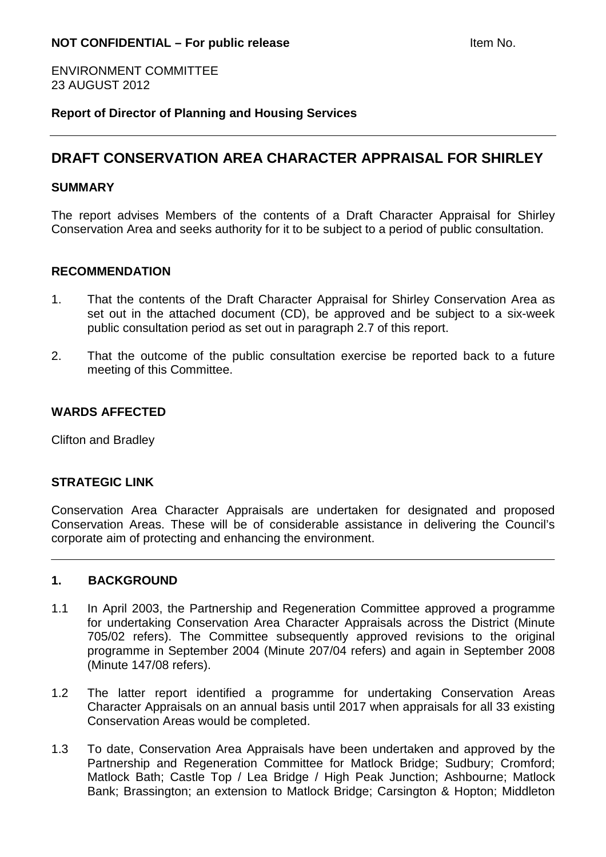ENVIRONMENT COMMITTEE 23 AUGUST 2012

**Report of Director of Planning and Housing Services**

# **DRAFT CONSERVATION AREA CHARACTER APPRAISAL FOR SHIRLEY**

### **SUMMARY**

The report advises Members of the contents of a Draft Character Appraisal for Shirley Conservation Area and seeks authority for it to be subject to a period of public consultation.

### **RECOMMENDATION**

- 1. That the contents of the Draft Character Appraisal for Shirley Conservation Area as set out in the attached document (CD), be approved and be subject to a six-week public consultation period as set out in paragraph 2.7 of this report.
- 2. That the outcome of the public consultation exercise be reported back to a future meeting of this Committee.

### **WARDS AFFECTED**

Clifton and Bradley

#### **STRATEGIC LINK**

Conservation Area Character Appraisals are undertaken for designated and proposed Conservation Areas. These will be of considerable assistance in delivering the Council's corporate aim of protecting and enhancing the environment.

#### **1. BACKGROUND**

- 1.1 In April 2003, the Partnership and Regeneration Committee approved a programme for undertaking Conservation Area Character Appraisals across the District (Minute 705/02 refers). The Committee subsequently approved revisions to the original programme in September 2004 (Minute 207/04 refers) and again in September 2008 (Minute 147/08 refers).
- 1.2 The latter report identified a programme for undertaking Conservation Areas Character Appraisals on an annual basis until 2017 when appraisals for all 33 existing Conservation Areas would be completed.
- 1.3 To date, Conservation Area Appraisals have been undertaken and approved by the Partnership and Regeneration Committee for Matlock Bridge; Sudbury; Cromford; Matlock Bath; Castle Top / Lea Bridge / High Peak Junction; Ashbourne; Matlock Bank; Brassington; an extension to Matlock Bridge; Carsington & Hopton; Middleton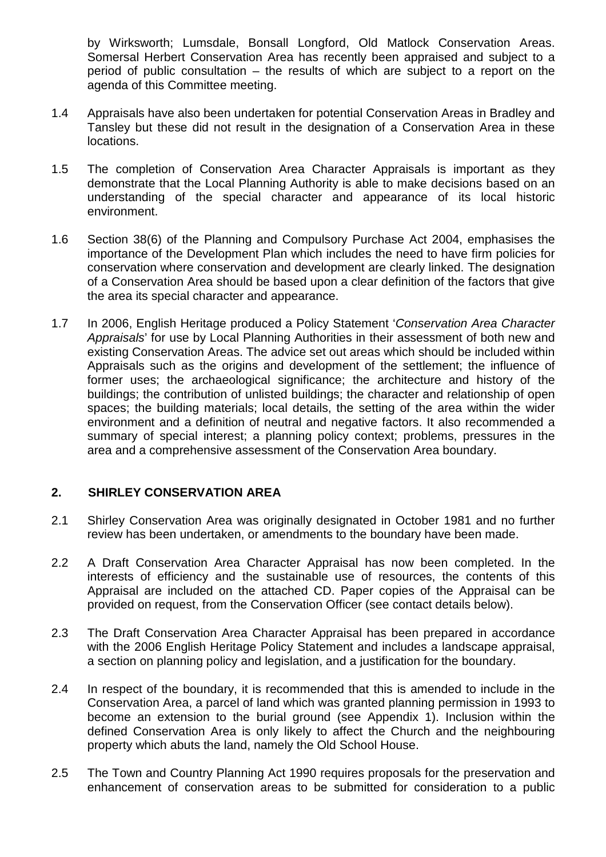by Wirksworth; Lumsdale, Bonsall Longford, Old Matlock Conservation Areas. Somersal Herbert Conservation Area has recently been appraised and subject to a period of public consultation – the results of which are subject to a report on the agenda of this Committee meeting.

- 1.4 Appraisals have also been undertaken for potential Conservation Areas in Bradley and Tansley but these did not result in the designation of a Conservation Area in these locations.
- 1.5 The completion of Conservation Area Character Appraisals is important as they demonstrate that the Local Planning Authority is able to make decisions based on an understanding of the special character and appearance of its local historic environment.
- 1.6 Section 38(6) of the Planning and Compulsory Purchase Act 2004, emphasises the importance of the Development Plan which includes the need to have firm policies for conservation where conservation and development are clearly linked. The designation of a Conservation Area should be based upon a clear definition of the factors that give the area its special character and appearance.
- 1.7 In 2006, English Heritage produced a Policy Statement 'Conservation Area Character Appraisals' for use by Local Planning Authorities in their assessment of both new and existing Conservation Areas. The advice set out areas which should be included within Appraisals such as the origins and development of the settlement; the influence of former uses; the archaeological significance; the architecture and history of the buildings; the contribution of unlisted buildings; the character and relationship of open spaces; the building materials; local details, the setting of the area within the wider environment and a definition of neutral and negative factors. It also recommended a summary of special interest; a planning policy context; problems, pressures in the area and a comprehensive assessment of the Conservation Area boundary.

# **2. SHIRLEY CONSERVATION AREA**

- 2.1 Shirley Conservation Area was originally designated in October 1981 and no further review has been undertaken, or amendments to the boundary have been made.
- 2.2 A Draft Conservation Area Character Appraisal has now been completed. In the interests of efficiency and the sustainable use of resources, the contents of this Appraisal are included on the attached CD. Paper copies of the Appraisal can be provided on request, from the Conservation Officer (see contact details below).
- 2.3 The Draft Conservation Area Character Appraisal has been prepared in accordance with the 2006 English Heritage Policy Statement and includes a landscape appraisal, a section on planning policy and legislation, and a justification for the boundary.
- 2.4 In respect of the boundary, it is recommended that this is amended to include in the Conservation Area, a parcel of land which was granted planning permission in 1993 to become an extension to the burial ground (see Appendix 1). Inclusion within the defined Conservation Area is only likely to affect the Church and the neighbouring property which abuts the land, namely the Old School House.
- 2.5 The Town and Country Planning Act 1990 requires proposals for the preservation and enhancement of conservation areas to be submitted for consideration to a public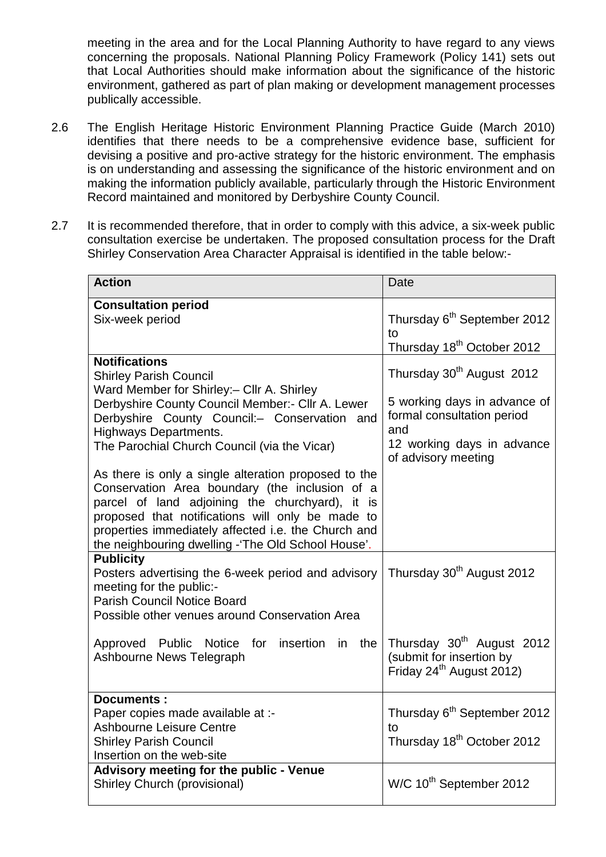meeting in the area and for the Local Planning Authority to have regard to any views concerning the proposals. National Planning Policy Framework (Policy 141) sets out that Local Authorities should make information about the significance of the historic environment, gathered as part of plan making or development management processes publically accessible.

- 2.6 The English Heritage Historic Environment Planning Practice Guide (March 2010) identifies that there needs to be a comprehensive evidence base, sufficient for devising a positive and pro-active strategy for the historic environment. The emphasis is on understanding and assessing the significance of the historic environment and on making the information publicly available, particularly through the Historic Environment Record maintained and monitored by Derbyshire County Council.
- 2.7 It is recommended therefore, that in order to comply with this advice, a six-week public consultation exercise be undertaken. The proposed consultation process for the Draft Shirley Conservation Area Character Appraisal is identified in the table below:-

| <b>Action</b>                                                                                                                                                                                                                                                                                                                                  | <b>Date</b>                                                                                                                                                     |
|------------------------------------------------------------------------------------------------------------------------------------------------------------------------------------------------------------------------------------------------------------------------------------------------------------------------------------------------|-----------------------------------------------------------------------------------------------------------------------------------------------------------------|
| <b>Consultation period</b><br>Six-week period                                                                                                                                                                                                                                                                                                  | Thursday 6 <sup>th</sup> September 2012<br>tο<br>Thursday 18 <sup>th</sup> October 2012                                                                         |
| <b>Notifications</b><br><b>Shirley Parish Council</b><br>Ward Member for Shirley:- Cllr A. Shirley<br>Derbyshire County Council Member:- Cllr A. Lewer<br>Derbyshire County Council:- Conservation and<br><b>Highways Departments.</b><br>The Parochial Church Council (via the Vicar)<br>As there is only a single alteration proposed to the | Thursday 30 <sup>th</sup> August 2012<br>5 working days in advance of<br>formal consultation period<br>and<br>12 working days in advance<br>of advisory meeting |
| Conservation Area boundary (the inclusion of a<br>parcel of land adjoining the churchyard), it is<br>proposed that notifications will only be made to<br>properties immediately affected i.e. the Church and<br>the neighbouring dwelling -'The Old School House'.                                                                             |                                                                                                                                                                 |
| <b>Publicity</b><br>Posters advertising the 6-week period and advisory<br>meeting for the public:-<br><b>Parish Council Notice Board</b><br>Possible other venues around Conservation Area                                                                                                                                                     | Thursday 30 <sup>th</sup> August 2012                                                                                                                           |
| Approved Public Notice for insertion in the<br>Ashbourne News Telegraph                                                                                                                                                                                                                                                                        | Thursday 30 <sup>th</sup> August 2012<br>(submit for insertion by<br>Friday 24 <sup>th</sup> August 2012)                                                       |
| <b>Documents:</b><br>Paper copies made available at :-<br><b>Ashbourne Leisure Centre</b><br><b>Shirley Parish Council</b><br>Insertion on the web-site                                                                                                                                                                                        | Thursday 6 <sup>th</sup> September 2012<br>t٥<br>Thursday 18 <sup>th</sup> October 2012                                                                         |
| Advisory meeting for the public - Venue<br>Shirley Church (provisional)                                                                                                                                                                                                                                                                        | W/C 10 <sup>th</sup> September 2012                                                                                                                             |